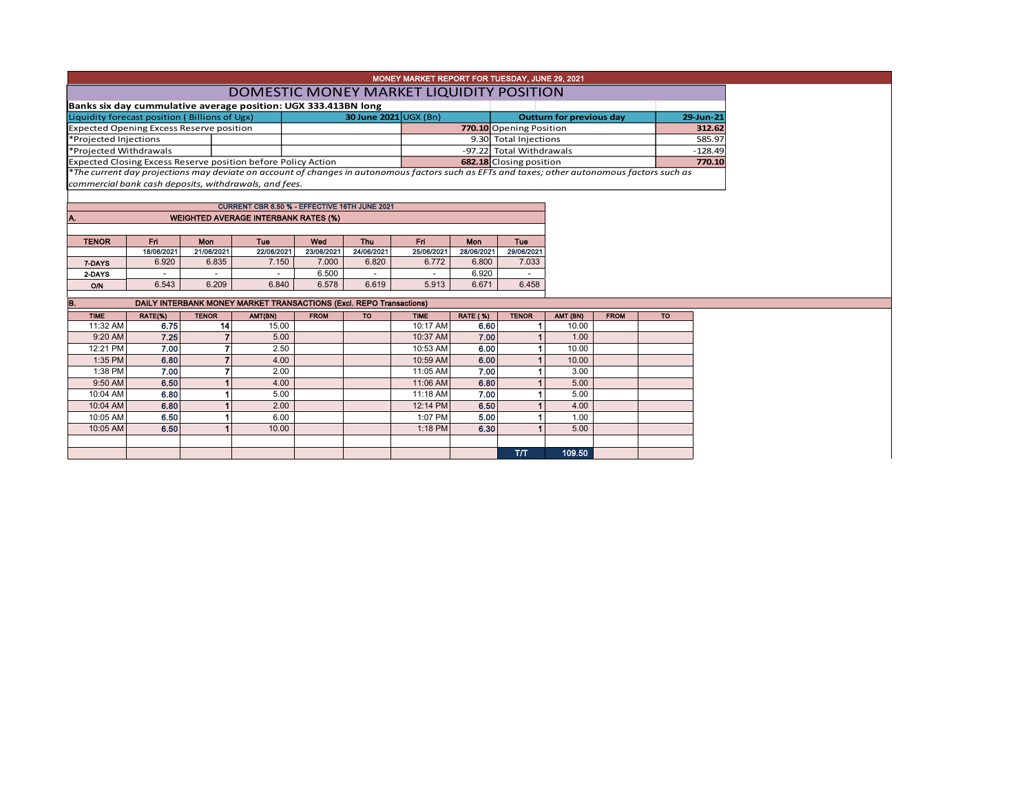| MONEY MARKET REPORT FOR TUESDAY, JUNE 29, 2021                 |                                                                                                                                               |                |                                                               |             |                       |             |                 |                                 |          |             |           |  |  |  |
|----------------------------------------------------------------|-----------------------------------------------------------------------------------------------------------------------------------------------|----------------|---------------------------------------------------------------|-------------|-----------------------|-------------|-----------------|---------------------------------|----------|-------------|-----------|--|--|--|
| DOMESTIC MONEY MARKET LIQUIDITY POSITION                       |                                                                                                                                               |                |                                                               |             |                       |             |                 |                                 |          |             |           |  |  |  |
| Banks six day cummulative average position: UGX 333.413BN long |                                                                                                                                               |                |                                                               |             |                       |             |                 |                                 |          |             |           |  |  |  |
| Liquidity forecast position (Billions of Ugx)                  |                                                                                                                                               |                |                                                               |             | 30 June 2021 UGX (Bn) |             |                 | <b>Outturn for previous day</b> |          |             | 29-Jun-21 |  |  |  |
| <b>Expected Opening Excess Reserve position</b>                |                                                                                                                                               |                |                                                               |             |                       |             |                 | 770.10 Opening Position         |          | 312.62      |           |  |  |  |
| *Projected Injections                                          |                                                                                                                                               |                |                                                               |             |                       |             |                 | 9.30 Total Injections           |          | 585.97      |           |  |  |  |
| *Projected Withdrawals                                         |                                                                                                                                               |                |                                                               |             |                       |             |                 | -97.22 Total Withdrawals        |          | $-128.49$   |           |  |  |  |
|                                                                |                                                                                                                                               |                | Expected Closing Excess Reserve position before Policy Action |             |                       |             |                 | 682.18 Closing position         |          | 770.10      |           |  |  |  |
|                                                                | *The current day projections may deviate on account of changes in autonomous factors such as EFTs and taxes; other autonomous factors such as |                |                                                               |             |                       |             |                 |                                 |          |             |           |  |  |  |
|                                                                |                                                                                                                                               |                | commercial bank cash deposits, withdrawals, and fees.         |             |                       |             |                 |                                 |          |             |           |  |  |  |
|                                                                |                                                                                                                                               |                |                                                               |             |                       |             |                 |                                 |          |             |           |  |  |  |
|                                                                |                                                                                                                                               |                | CURRENT CBR 6.50 % - EFFECTIVE 16TH JUNE 2021                 |             |                       |             |                 |                                 |          |             |           |  |  |  |
| IA.                                                            | <b>WEIGHTED AVERAGE INTERBANK RATES (%)</b>                                                                                                   |                |                                                               |             |                       |             |                 |                                 |          |             |           |  |  |  |
|                                                                |                                                                                                                                               |                |                                                               |             |                       |             |                 |                                 |          |             |           |  |  |  |
| <b>TENOR</b>                                                   | Fri.                                                                                                                                          | Mon            | Tuo                                                           | Wed         | <b>Thu</b>            | Fri.        | <b>Mon</b>      | <b>Tue</b>                      |          |             |           |  |  |  |
|                                                                | 18/06/2021                                                                                                                                    | 21/06/2021     | 22/06/2021                                                    | 23/06/2021  | 24/06/2021            | 25/06/2021  | 28/06/2021      | 29/06/2021                      |          |             |           |  |  |  |
| 7-DAYS                                                         | 6.920                                                                                                                                         | 6.835          | 7.150                                                         | 7.000       | 6.820                 | 6.772       | 6.800           | 7.033                           |          |             |           |  |  |  |
| 2-DAYS                                                         |                                                                                                                                               |                |                                                               | 6.500       |                       |             | 6.920           |                                 |          |             |           |  |  |  |
| O/N                                                            | 6.543                                                                                                                                         | 6.209          | 6.840                                                         | 6.578       | 6.619                 | 5.913       | 6.671           | 6.458                           |          |             |           |  |  |  |
|                                                                |                                                                                                                                               |                |                                                               |             |                       |             |                 |                                 |          |             |           |  |  |  |
| B.                                                             | DAILY INTERBANK MONEY MARKET TRANSACTIONS (Excl. REPO Transactions)                                                                           |                |                                                               |             |                       |             |                 |                                 |          |             |           |  |  |  |
| <b>TIME</b>                                                    | RATE(%)                                                                                                                                       | <b>TENOR</b>   | AMT(BN)                                                       | <b>FROM</b> | <b>TO</b>             | <b>TIME</b> | <b>RATE (%)</b> | <b>TENOR</b>                    | AMT (BN) | <b>FROM</b> | <b>TO</b> |  |  |  |
| 11:32 AM                                                       | 6.75                                                                                                                                          | 14             | 15.00                                                         |             |                       | 10:17 AM    | 6.60            |                                 | 10.00    |             |           |  |  |  |
| 9:20 AM                                                        | 7.25                                                                                                                                          |                | 5.00                                                          |             |                       | 10:37 AM    | 7.00            |                                 | 1.00     |             |           |  |  |  |
| 12:21 PM                                                       | 7.00                                                                                                                                          | 7              | 2.50                                                          |             |                       | 10:53 AM    | 6.00            |                                 | 10.00    |             |           |  |  |  |
| 1:35 PM                                                        | 6.80                                                                                                                                          | $\overline{7}$ | 4.00                                                          |             |                       | 10:59 AM    | 6.00            |                                 | 10.00    |             |           |  |  |  |

T/T 109.50

1:38 PM 7.00 7 2.00 1 1:05 AM 7.00 1 3.00 9:50 AM| 6.50| 1| 4.00| | 11:06 AM| 6.80| 1| 5.00 10:04 AM **6.80 1 5**.00 1 5.00 1:18 AM **7.00 1** 5.00 10:04 AM **6.80 1 2.00 1 1 3.00** 12:14 PM **6.50 1** 4.00 10:05 AM **6.50 1 6.00 1 1 6.00** 1:07 PM **5.00 1** 1.00 10:05 AM **6.50 1 10:00** 10:00 1:18 PM **6.30** 1 5.00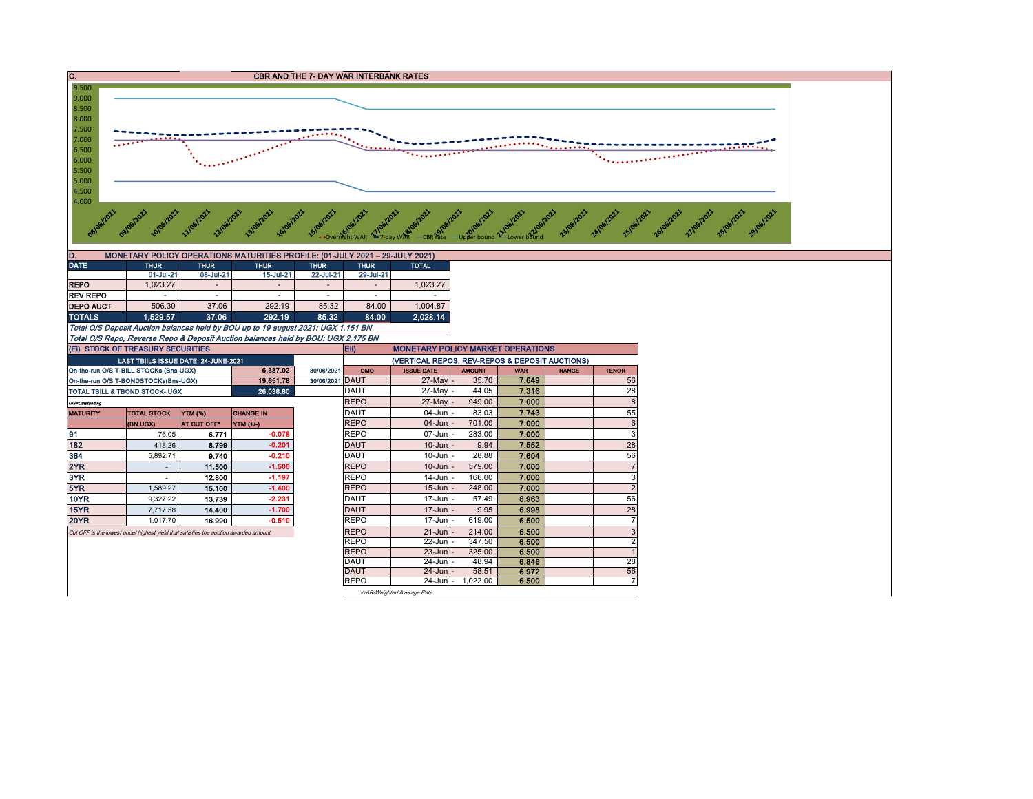

DAUT | 24-Jun |- 58.51 | 6.972 | 56 REPO 24-Jun - 1,022.00 6.500 7

WAR-Weighted Average Rate

REPO 22-Jun - 347.50 6.500 2<br>REPO 23-Jun - 325.00 6.500 1 1 REPO | 23-Jun | 325.00 | 6**.500** | 1 DAUT | 24-Jun |- 48.94 | 6**.846 |** 28